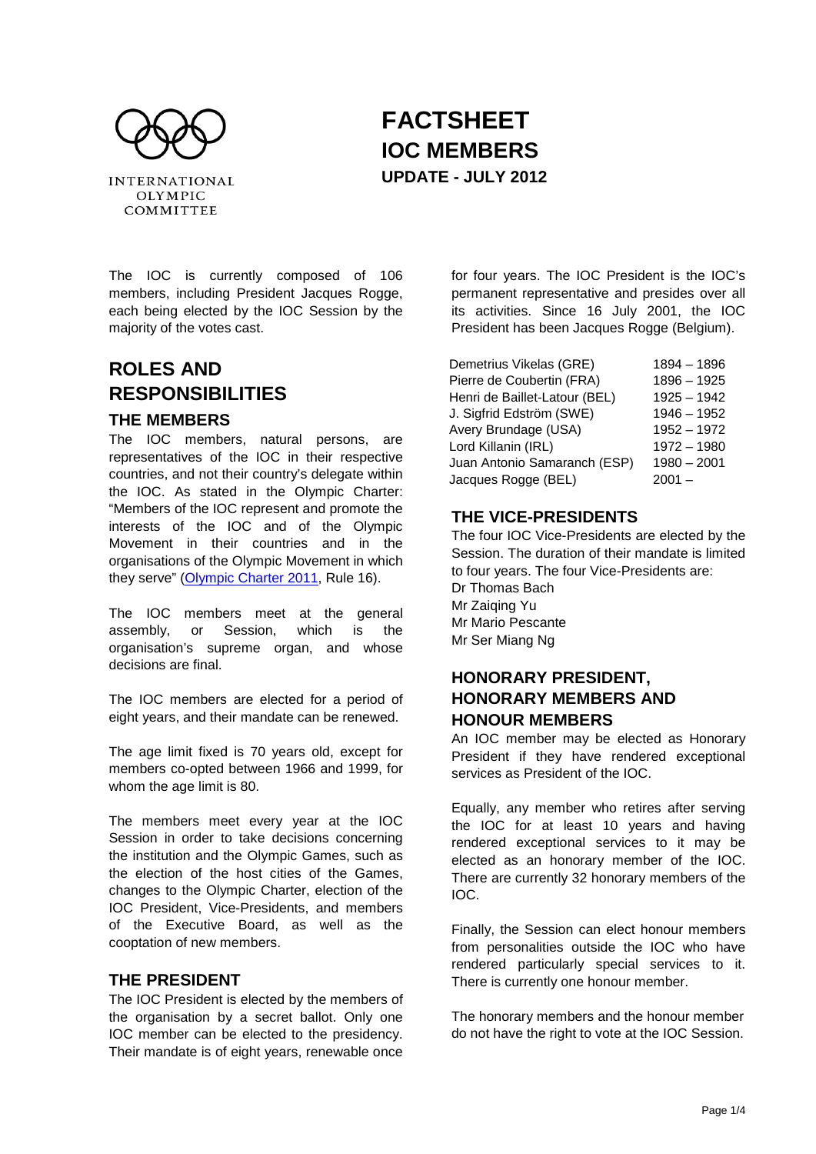

# **FACTSHEET IOC MEMBERS UPDATE - JULY 2012**

The IOC is currently composed of 106 members, including President Jacques Rogge, each being elected by the IOC Session by the majority of the votes cast.

## **ROLES AND RESPONSIBILITIES**

#### **THE MEMBERS**

The IOC members, natural persons, are representatives of the IOC in their respective countries, and not their country's delegate within the IOC. As stated in the Olympic Charter: "Members of the IOC represent and promote the interests of the IOC and of the Olympic Movement in their countries and in the organisations of the Olympic Movement in which they serve" [\(Olympic Charter 2011,](http://www.olympic.org/Documents/olympic_charter_en.pdf) Rule 16).

The IOC members meet at the general assembly, or Session, which is the organisation's supreme organ, and whose decisions are final.

The IOC members are elected for a period of eight years, and their mandate can be renewed.

The age limit fixed is 70 years old, except for members co-opted between 1966 and 1999, for whom the age limit is 80.

The members meet every year at the IOC Session in order to take decisions concerning the institution and the Olympic Games, such as the election of the host cities of the Games, changes to the Olympic Charter, election of the IOC President, Vice-Presidents, and members of the Executive Board, as well as the cooptation of new members.

#### **THE PRESIDENT**

The IOC President is elected by the members of the organisation by a secret ballot. Only one IOC member can be elected to the presidency. Their mandate is of eight years, renewable once

for four years. The IOC President is the IOC's permanent representative and presides over all its activities. Since 16 July 2001, the IOC President has been Jacques Rogge (Belgium).

| Demetrius Vikelas (GRE)       | 1894 - 1896   |
|-------------------------------|---------------|
| Pierre de Coubertin (FRA)     | $1896 - 1925$ |
| Henri de Baillet-Latour (BEL) | $1925 - 1942$ |
| J. Sigfrid Edström (SWE)      | $1946 - 1952$ |
| Avery Brundage (USA)          | $1952 - 1972$ |
| Lord Killanin (IRL)           | $1972 - 1980$ |
| Juan Antonio Samaranch (ESP)  | $1980 - 2001$ |
| Jacques Rogge (BEL)           | $2001 -$      |

#### **THE VICE-PRESIDENTS**

The four IOC Vice-Presidents are elected by the Session. The duration of their mandate is limited to four years. The four Vice-Presidents are: Dr Thomas Bach Mr Zaiqing Yu Mr Mario Pescante Mr Ser Miang Ng

#### **HONORARY PRESIDENT, HONORARY MEMBERS AND HONOUR MEMBERS**

An IOC member may be elected as Honorary President if they have rendered exceptional services as President of the IOC.

Equally, any member who retires after serving the IOC for at least 10 years and having rendered exceptional services to it may be elected as an honorary member of the IOC. There are currently 32 honorary members of the IOC.

Finally, the Session can elect honour members from personalities outside the IOC who have rendered particularly special services to it. There is currently one honour member.

The honorary members and the honour member do not have the right to vote at the IOC Session.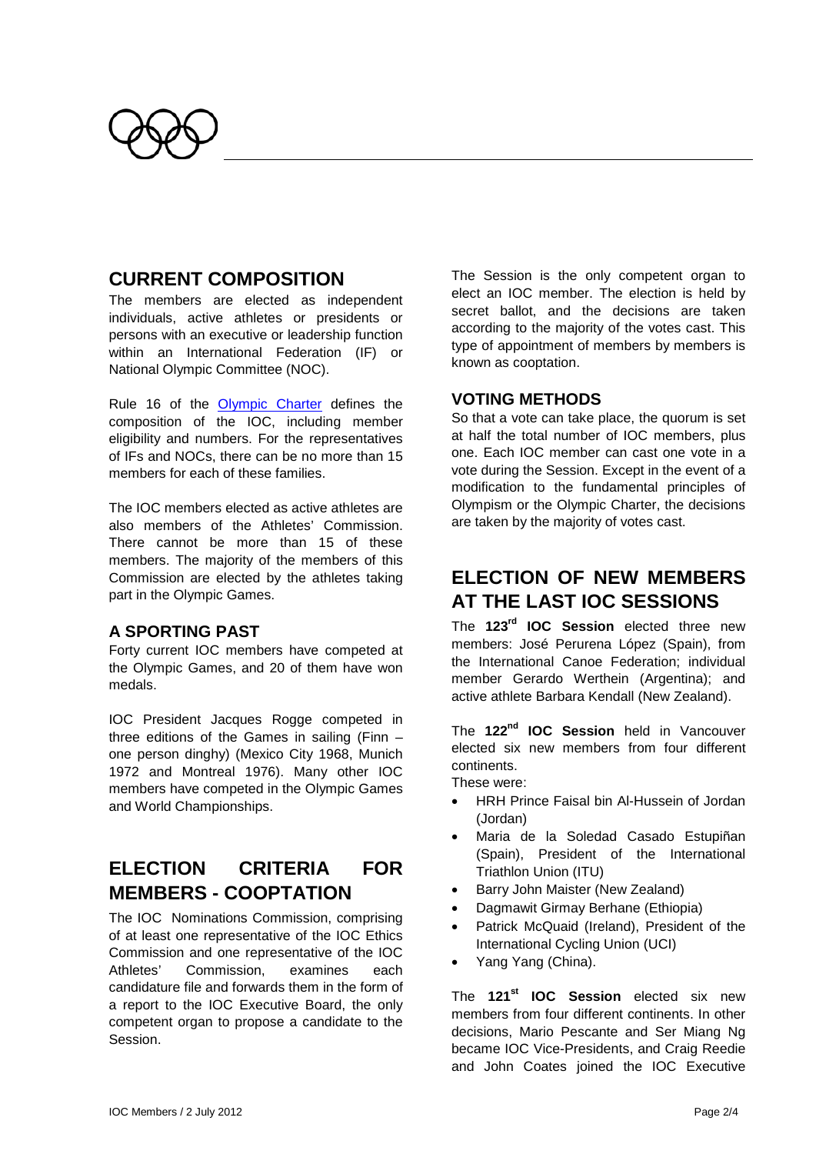

### **CURRENT COMPOSITION**

The members are elected as independent individuals, active athletes or presidents or persons with an executive or leadership function within an International Federation (IF) or National Olympic Committee (NOC).

Rule 16 of the [Olympic Charter](http://www.olympic.org/Documents/olympic_charter_en.pdf) defines the composition of the IOC, including member eligibility and numbers. For the representatives of IFs and NOCs, there can be no more than 15 members for each of these families.

The IOC members elected as active athletes are also members of the Athletes' Commission. There cannot be more than 15 of these members. The majority of the members of this Commission are elected by the athletes taking part in the Olympic Games.

#### **A SPORTING PAST**

Forty current IOC members have competed at the Olympic Games, and 20 of them have won medals.

IOC President Jacques Rogge competed in three editions of the Games in sailing (Finn – one person dinghy) (Mexico City 1968, Munich 1972 and Montreal 1976). Many other IOC members have competed in the Olympic Games and World Championships.

### **ELECTION CRITERIA FOR MEMBERS - COOPTATION**

The IOC Nominations Commission, comprising of at least one representative of the IOC Ethics Commission and one representative of the IOC Athletes' Commission, examines each candidature file and forwards them in the form of a report to the IOC Executive Board, the only competent organ to propose a candidate to the Session.

The Session is the only competent organ to elect an IOC member. The election is held by secret ballot, and the decisions are taken according to the majority of the votes cast. This type of appointment of members by members is known as cooptation.

#### **VOTING METHODS**

So that a vote can take place, the quorum is set at half the total number of IOC members, plus one. Each IOC member can cast one vote in a vote during the Session. Except in the event of a modification to the fundamental principles of Olympism or the Olympic Charter, the decisions are taken by the majority of votes cast.

## **ELECTION OF NEW MEMBERS AT THE LAST IOC SESSIONS**

The **123rd IOC Session** elected three new members: José Perurena López [\(Spain\)](http://www.olympic.org/spain), from the International Canoe Federation; individual member Gerardo Werthein [\(Argentina\)](http://www.olympic.org/argentina); and active athlete [Barbara Kendall](http://www.olympic.org/mrs-barbara-kendall-mbe) [\(New Zealand\)](http://www.olympic.org/new-zealand).

The **122nd IOC Session** held in Vancouver elected six new members from four different continents.

These were:

- HRH Prince Faisal bin Al-Hussein of Jordan (Jordan)
- Maria de la Soledad Casado Estupiñan (Spain), President of the International Triathlon Union (ITU)
- Barry John Maister (New Zealand)
- Dagmawit Girmay Berhane (Ethiopia)
- Patrick McQuaid (Ireland), President of the International Cycling Union (UCI)
- Yang Yang (China).

The **121st [IOC Session](http://www.olympic.org/en/content/The-IOC/Commissions/Olympic-Congress-2009-Commission1/121st-Session/)** elected six new members from four different continents. In other decisions, [Mario Pescante](http://www.olympic.org/en/content/The-IOC/Members/Mr-Mario-PESCANTE/) and [Ser Miang Ng](http://www.olympic.org/en/content/The-IOC/Members/Mr-Ser-Miang-NG/) became IOC Vice-Presidents, and [Craig Reedie](http://www.olympic.org/en/content/The-IOC/Members/Sir-Craig-REEDIE/) and [John Coates](http://www.olympic.org/en/content/The-IOC/Members/Mr-John-D-COATES-AC/) joined the IOC Executive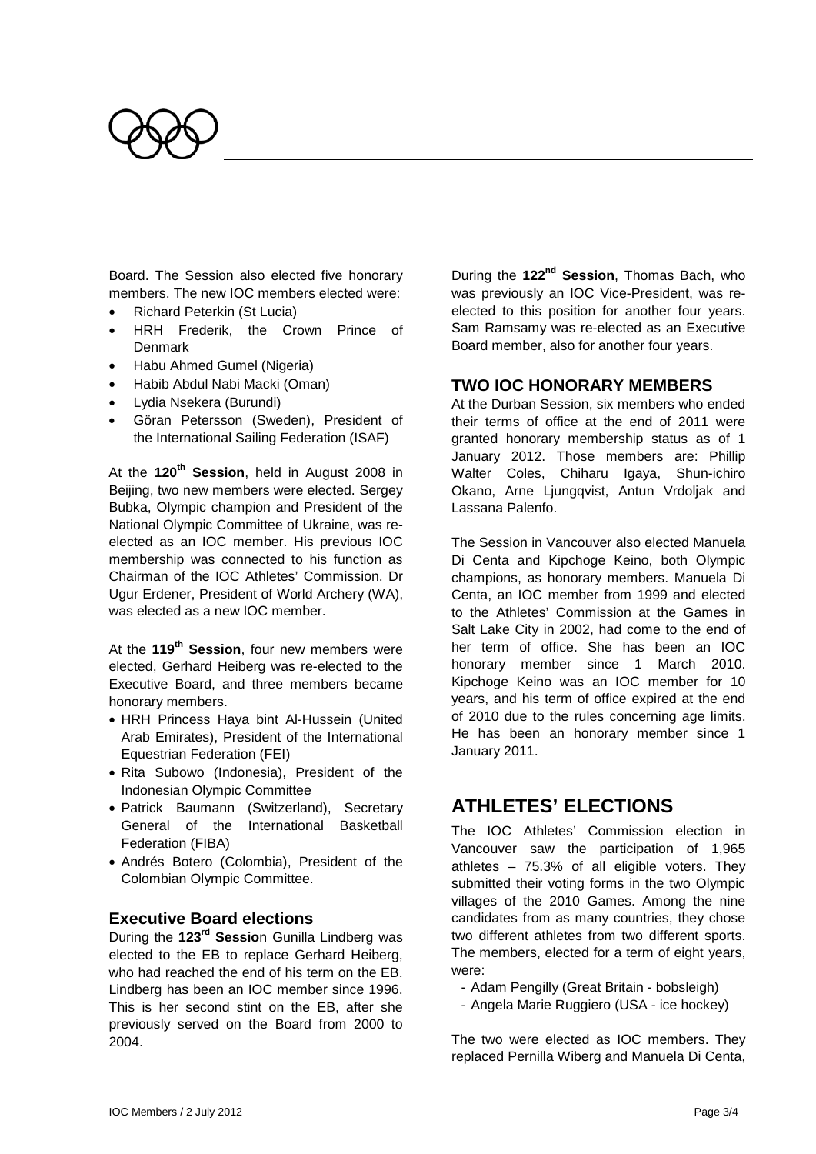

Board. The Session also elected five honorary members. Th[e new IOC members](http://www.olympic.org/Documents/Conferences_Forums_and_Events/2009_Olympic_Congress/New_members_biographies_2009.pdf) elected were:

- Richard Peterkin (St Lucia)
- HRH Frederik, the Crown Prince of **Denmark**
- Habu Ahmed Gumel (Nigeria)
- Habib Abdul Nabi Macki (Oman)
- Lydia Nsekera (Burundi)
- Göran Petersson (Sweden), President of the International Sailing Federation (ISAF)

At the **120th Session**, held in August 2008 in Beijing, two new members were elected. Sergey Bubka, Olympic champion and President of the National Olympic Committee of Ukraine, was reelected as an IOC member. His previous IOC membership was connected to his function as Chairman of the IOC Athletes' Commission. Dr Ugur Erdener, President of World Archery (WA), was elected as a new IOC member.

At the **119th Session**, four new members were elected, Gerhard Heiberg was re-elected to the Executive Board, and three members became honorary members.

- HRH Princess Haya bint Al-Hussein (United Arab Emirates), President of the International Equestrian Federation (FEI)
- Rita Subowo (Indonesia), President of the Indonesian Olympic Committee
- Patrick Baumann (Switzerland), Secretary General of the International Basketball Federation (FIBA)
- Andrés Botero (Colombia), President of the Colombian Olympic Committee.

#### **Executive Board elections**

During the **123rd Sessio**n Gunilla Lindberg was elected to the EB to replace [Gerhard Heiberg,](http://www.olympic.org/mr-gerhard-heiberg) who had reached the end of his term on the EB. Lindberg has been an IOC member since 1996. This is her second stint on the EB, after she previously served on the Board from 2000 to 2004.

During the **122nd Session**, [Thomas Bach,](http://www.olympic.org/en/content/The-IOC/Members/Mr-Thomas-BACH/) who was previously an IOC Vice-President, was reelected to this position for another four years. [Sam Ramsamy](http://www.olympic.org/en/content/The-IOC/Members/Mr-Sam-RAMSAMY/) was re-elected as an Executive Board member, also for another four years.

#### **TWO IOC HONORARY MEMBERS**

At the Durban Session, six members who ended their terms of office at the end of 2011 were granted honorary membership status as of 1 January 2012. Those members are: Phillip Walter Coles, Chiharu Igaya, Shun-ichiro Okano, Arne Ljungqvist, Antun Vrdoljak and Lassana Palenfo.

The Session in Vancouver also elected Manuela Di Centa and Kipchoge Keino, both Olympic champions, as honorary members. Manuela Di Centa, an IOC member from 1999 and elected to the Athletes' Commission at the Games in Salt Lake City in 2002, had come to the end of her term of office. She has been an IOC honorary member since 1 March 2010. Kipchoge Keino was an IOC member for 10 years, and his term of office expired at the end of 2010 due to the rules concerning age limits. He has been an honorary member since 1 January 2011.

### **ATHLETES' ELECTIONS**

The IOC Athletes' Commission election in Vancouver saw the participation of 1,965 athletes – 75.3% of all eligible voters. They submitted their voting forms in the two Olympic villages of the 2010 Games. Among the nine candidates from as many countries, they chose two different athletes from two different sports. The members, elected for a term of eight years, were:

- Adam Pengilly (Great Britain - bobsleigh)

- Angela Marie Ruggiero (USA - ice hockey)

The two were elected as IOC members. They replaced Pernilla Wiberg and Manuela Di Centa,